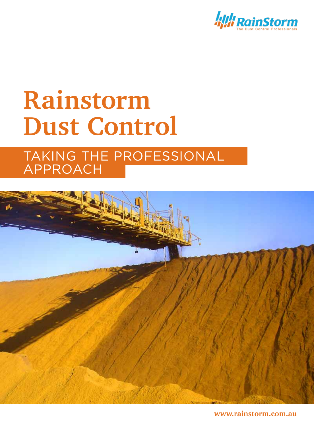

# **Rainstorm Dust Control**

## TAKING THE PROFESSIONAL approach



**www.rainstorm.com.au**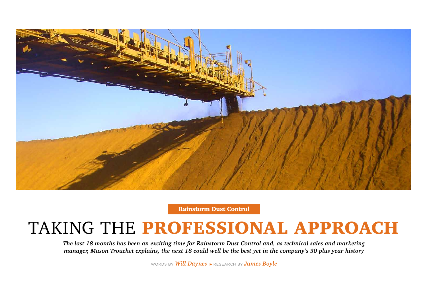*The last 18 months has been an exciting time for Rainstorm Dust Control and, as technical sales and marketing manager, Mason Trouchet explains, the next 18 could well be the best yet in the company's 30 plus year history* 

WORDS BY **Will Daynes**  $\triangleright$  RESEARCH BY **James Boyle** 





Rainstorm Dust Control

# TAKING THE PROFESSIONAL APPROACH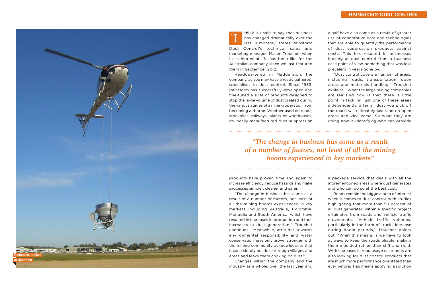Headquartered in Maddington, the company, as you may have already gathered, specialises in dust control. Since 1983, Rainstorm has successfully developed and fine-tuned a suite of products designed to stop the large volume of dust created during the various stages of a mining operation from becoming airborne. Whether used on roads, stockpiles, railways, plants or warehouses, its locally-manufactured dust suppression

products have proven time and again to increase efficiency, reduce hazards and make processes simpler, cleaner and safer.

"The change in business has come as a result of a number of factors, not least of all the mining booms experienced in key markets including Australia, Colombia, Mongolia and South America, which have resulted in increases in production and thus increases in dust generation," Trouchet continues. "Meanwhile, attitudes towards environmental responsibility and water conservation have only grown stronger, with the mining community acknowledging that it can't simply bulldoze through villages and areas and leave them choking on dust."

Changes within the company and the industry as a whole, over the last year and

think it's safe to say that business has changed dramatically over the last 18 months," states Rainstorm Dust Control's technical sales and marketing manager, Mason Trouchet, when I ask him what life has been like for the Australian company since we last featured them in September 2012. " I

a half have also come as a result of greater use of connotative data and technologies that are able to quantify the performance of dust suppression products against costs. This has resulted in businesses looking at dust control from a business case point of view, something that was less prevalent in years gone by.

"Dust control covers a number of areas, including roads, transportation, open areas and materials handling," Trouchet explains. " What the large mining companies are realising now is that there is little point in tackling just one of these areas independently, after all dust you pick off the roads will ultimately just land on open areas and vice versa. So what they are doing now is identifying who can provide

a package service that deals with all the aforementioned areas where dust generates and who can do so at the best cost."

Roads remain the biggest area of interest when it comes to dust control, with studies highlighting that more than 50 percent of all dust generated within a specific project originates from roads and vehicle traffic movements. "Vehicle traffic volumes, particularly in the form of trucks increase during boom periods," Trouchet points out. " What this means is we have to look at ways to keep the roads pliable, making them moulded rather than stiff and rigid. With increases in road usage customers are also looking for dust control products that are much more performance orientated than ever before. This means applying a solution

### RAINSTORM DUST CONTROL



*"The change in business has come as a result of a number of factors, not least of all the mining booms experienced in key markets"*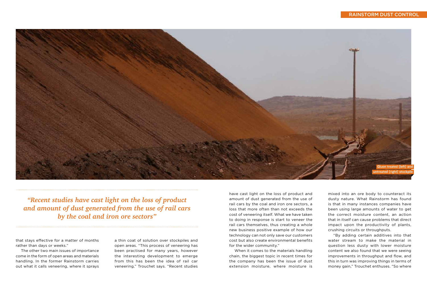that stays effective for a matter of months rather than days or weeks."

The other two main issues of importance come in the form of open areas and materials handling. In the former Rainstorm carries out what it calls veneering, where it sprays a thin coat of solution over stockpiles and open areas. "This process of veneering has been practised for many years, however the interesting development to emerge from this has been the idea of rail car veneering," Trouchet says. "Recent studies



## Rainstorm Dust Control

*"Recent studies have cast light on the loss of product and amount of dust generated from the use of rail cars by the coal and iron ore sectors"*

have cast light on the loss of product and amount of dust generated from the use of rail cars by the coal and iron ore sectors, a loss that more often than not exceeds the cost of veneering itself. What we have taken to doing in response is start to veneer the rail cars themselves, thus creating a whole new business positive example of how our technology can not only save our customers cost but also create environmental benefits for the wider community."

When it comes to the materials handling chain, the biggest topic in recent times for the company has been the issue of dust extension moisture, where moisture is

mixed into an ore body to counteract its dusty nature. What Rainstorm has found is that in many instances companies have been using large amounts of water to get the correct moisture content, an action that in itself can cause problems that direct impact upon the productivity of plants, crushing circuits or throughputs.

"By adding certain additives into that water stream to make the material in question less dusty with lower moisture content we also found that we were seeing improvements in throughput and flow, and this in turn was improving things in terms of money gain," Trouchet enthuses. "So where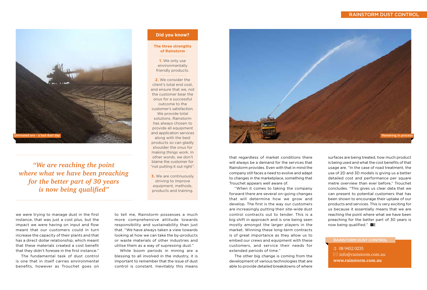## Rainstorm Dust Control

that regardless of market conditions there will always be a demand for the services that Rainstorm provides. Even with that in mind the company still faces a need to evolve and adapt to changes in the marketplace, something that Trouchet appears well aware of.

"When it comes to taking the company forward there are several on-going changes that will determine how we grow and develop. The first is the way our customers are increasingly putting their site-wide dust control contracts out to tender. This is a big shift in approach and is one being seen mostly amongst the larger players in the market. Winning these long-term contracts is of great importance as they allow us to embed our crews and equipment with these customers, and service their needs for extended periods of time."

surfaces are being treated, how much product is being used and what the cost benefits of that usage are. "In the case of road treatment, the use of 2D and 3D models is giving us a better detailed cost and performance per square metre overview than ever before," Trouchet concludes. "This gives us clear data that we can present to potential customers that has been shown to encourage their uptake of our products and services. This is very exciting for us because it essentially means that we are reaching the point where what we have been preaching for the better part of 30 years is now being qualified."  $B =$ 

The other big change is coming from the development of various technologies that are able to provide detailed breakdowns of where



we were trying to manage dust in the first instance, that was just a cost plus, but the impact we were having on input and flow meant that our customers could in turn increase the capacity of their plants and that has a direct dollar relationship, which meant that these materials created a cost benefit that they didn't foresee in the first instance."

The fundamental task of dust control is one that in itself carries environmental benefits, however as Trouchet goes on

to tell me, Rainstorm possesses a much more comprehensive attitude towards responsibility and sustainability than just that. "We have always taken a view towards looking at how we can take the by-products or waste materials of other industries and utilise them as a way of supressing dust."

While boom periods in mining are a blessing to all involved in the industry, it is important to remember that the issue of dust control is constant. Inevitably this means



 08 9452 0235  $\boxtimes$  info@rainstorm.com.au **www.rainstorm.com.au**

### Rainstorm Dust Control

*"We are reaching the point where what we have been preaching for the better part of 30 years is now being qualified"*

**The three strengths of Rainstorm**

**1.** We only use environmentally friendly products.

**2.** We consider the client's total end cost, and ensure that we, not the customer bear the onus for a successful outcome to the customer's satisfaction. We provide total solutions. Rainstorm has always chosen to provide all equipment and application services along with the best products so can gladly shoulder the onus for making things work. In other words, we don't blame the customer for "not putting it out right".

**3.** We are continuously striving to improve equipment, methods, products and training.

**Did you know?**